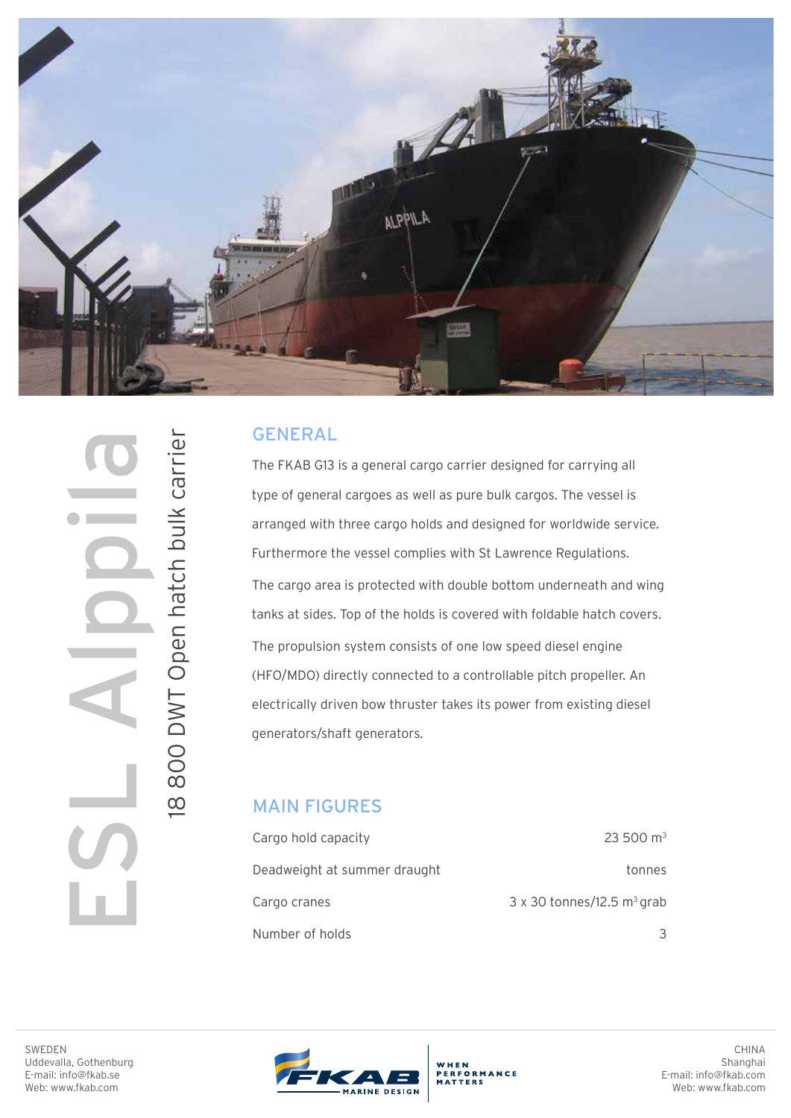

## GENERAL

The FKAB G13 is a general cargo carrier designed for carrying all type of general cargoes as well as pure bulk cargos. The vessel is arranged with three cargo holds and designed for worldwide service. Furthermore the vessel complies with St Lawrence Regulations. The cargo area is protected with double bottom underneath and wing tanks at sides. Top of the holds is covered with foldable hatch covers. The propulsion system consists of one low speed diesel engine (HFO/MDO) directly connected to a controllable pitch propeller. An electrically driven bow thruster takes its power from existing diesel generators/shaft generators.

## MAIN FIGURES

| Cargo hold capacity          | $23500 \text{ m}^3$                           |
|------------------------------|-----------------------------------------------|
| Deadweight at summer draught | tonnes                                        |
| Cargo cranes                 | $3 \times 30$ tonnes/12.5 m <sup>3</sup> grab |
| Number of holds              |                                               |

I8 800 DWT Open hatch bulk carrier 18 800 DWT Open hatch bulk carrier ESL Alppila

SWEDEN Uddevalla, Gothenburg E-mail: info@fkab.se Web: www.fkab.com



WHEN<br>PERFORMANCE

CHINA Shanghai E-mail: info@fkab.com Web: www.fkab.com